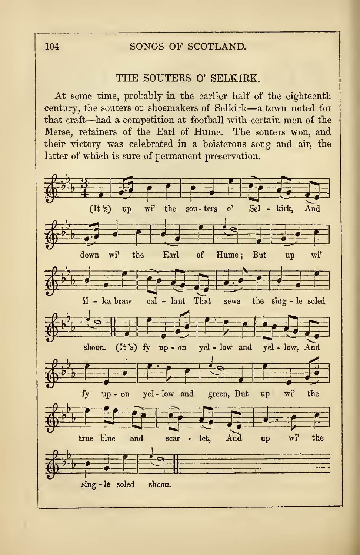## 104 SONGS OF SCOTLAND.

## THE SOUTERS 0' SELKIRK.

At some time, probably in tbe earlier half of the eighteenth century, the souters or shoemakers of Selkirk—<sup>a</sup> town noted for that craft—had <sup>a</sup> competition at football with certain men of the Merse, retainers of the Earl of Hume. The souters won, and their victory was celebrated in a boisterous song and air, the latter of which is sure of permanent preservation.